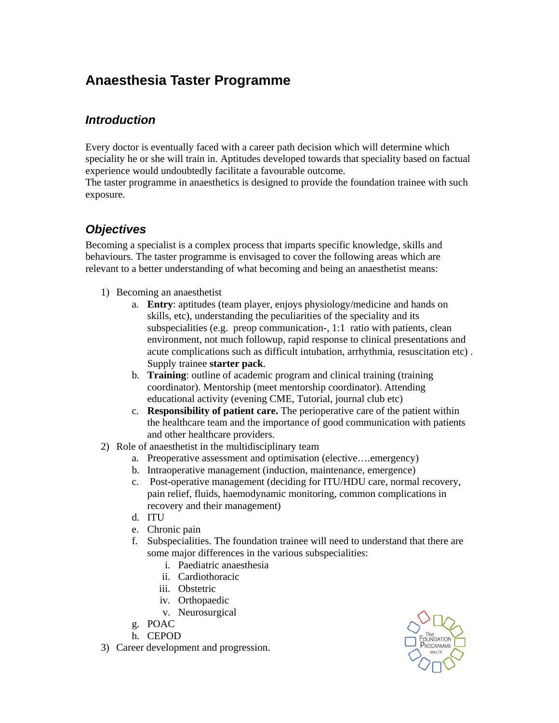## **Anaesthesia Taster Programme**

## *Introduction*

Every doctor is eventually faced with a career path decision which will determine which speciality he or she will train in. Aptitudes developed towards that speciality based on factual experience would undoubtedly facilitate a favourable outcome.

The taster programme in anaesthetics is designed to provide the foundation trainee with such exposure.

## *Objectives*

Becoming a specialist is a complex process that imparts specific knowledge, skills and behaviours. The taster programme is envisaged to cover the following areas which are relevant to a better understanding of what becoming and being an anaesthetist means:

- 1) Becoming an anaesthetist
	- a. **Entry**: aptitudes (team player, enjoys physiology/medicine and hands on skills, etc), understanding the peculiarities of the speciality and its subspecialities (e.g. preop communication-, 1:1 ratio with patients, clean environment, not much followup, rapid response to clinical presentations and acute complications such as difficult intubation, arrhythmia, resuscitation etc) . Supply trainee **starter pack**.
	- b. **Training**: outline of academic program and clinical training (training coordinator). Mentorship (meet mentorship coordinator). Attending educational activity (evening CME, Tutorial, journal club etc)
	- c. **Responsibility of patient care.** The perioperative care of the patient within the healthcare team and the importance of good communication with patients and other healthcare providers.
- 2) Role of anaesthetist in the multidisciplinary team
	- a. Preoperative assessment and optimisation (elective….emergency)
	- b. Intraoperative management (induction, maintenance, emergence)
	- c. Post-operative management (deciding for ITU/HDU care, normal recovery, pain relief, fluids, haemodynamic monitoring, common complications in recovery and their management)
	- d. ITU
	- e. Chronic pain
	- f. Subspecialities. The foundation trainee will need to understand that there are some major differences in the various subspecialities:
		- i. Paediatric anaesthesia
		- ii. Cardiothoracic
		- iii. Obstetric
		- iv. Orthopaedic
		- v. Neurosurgical
	- g. POAC
	- h. CEPOD
- 3) Career development and progression.